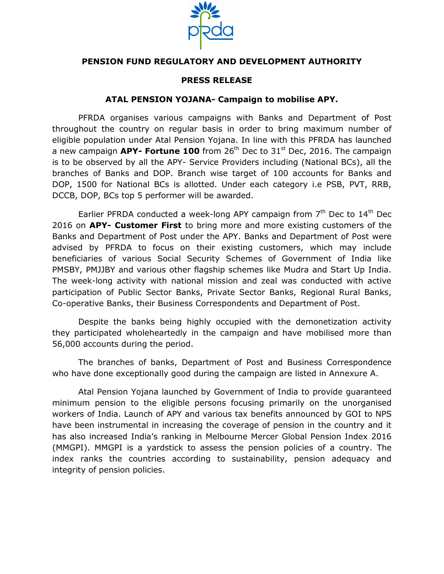

## **PENSION FUND REGULATORY AND DEVELOPMENT AUTHORITY**

## **PRESS RELEASE**

## **ATAL PENSION YOJANA- Campaign to mobilise APY.**

PFRDA organises various campaigns with Banks and Department of Post throughout the country on regular basis in order to bring maximum number of eligible population under Atal Pension Yojana. In line with this PFRDA has launched a new campaign **APY- Fortune 100** from 26<sup>th</sup> Dec to 31<sup>st</sup> Dec, 2016. The campaign is to be observed by all the APY- Service Providers including (National BCs), all the branches of Banks and DOP. Branch wise target of 100 accounts for Banks and DOP, 1500 for National BCs is allotted. Under each category i.e PSB, PVT, RRB, DCCB, DOP, BCs top 5 performer will be awarded.

Earlier PFRDA conducted a week-long APY campaign from  $7<sup>th</sup>$  Dec to  $14<sup>th</sup>$  Dec 2016 on **APY- Customer First** to bring more and more existing customers of the Banks and Department of Post under the APY. Banks and Department of Post were advised by PFRDA to focus on their existing customers, which may include beneficiaries of various Social Security Schemes of Government of India like PMSBY, PMJJBY and various other flagship schemes like Mudra and Start Up India. The week-long activity with national mission and zeal was conducted with active participation of Public Sector Banks, Private Sector Banks, Regional Rural Banks, Co-operative Banks, their Business Correspondents and Department of Post.

Despite the banks being highly occupied with the demonetization activity they participated wholeheartedly in the campaign and have mobilised more than 56,000 accounts during the period.

The branches of banks, Department of Post and Business Correspondence who have done exceptionally good during the campaign are listed in Annexure A.

Atal Pension Yojana launched by Government of India to provide guaranteed minimum pension to the eligible persons focusing primarily on the unorganised workers of India. Launch of APY and various tax benefits announced by GOI to NPS have been instrumental in increasing the coverage of pension in the country and it has also increased India's ranking in Melbourne Mercer Global Pension Index 2016 (MMGPI). MMGPI is a yardstick to assess the pension policies of a country. The index ranks the countries according to sustainability, pension adequacy and integrity of pension policies.